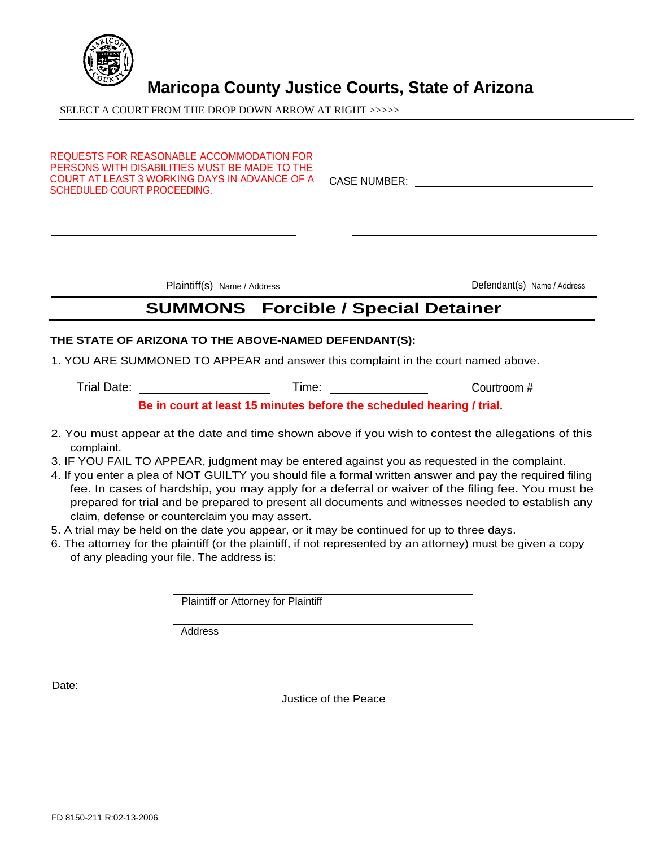

## **Maricopa County Justice Courts, State of Arizona**

SELECT A COURT FROM THE DROP DOWN ARROW AT RIGHT >>>>>

| COURT AT LEAST 3 WORKING DAYS IN ADVANCE OF A<br>SCHEDULED COURT PROCEEDING. | <b>CASE NUMBER:</b> |  |
|------------------------------------------------------------------------------|---------------------|--|

## **THE STATE OF ARIZONA TO THE ABOVE-NAMED DEFENDANT(S):**

1. YOU ARE SUMMONED TO APPEAR and answer this complaint in the court named above.

Trial Date: Time: Courtroom #

**Be in court at least 15 minutes before the scheduled hearing / trial.**

- 2. You must appear at the date and time shown above if you wish to contest the allegations of this complaint.
- 3. IF YOU FAIL TO APPEAR, judgment may be entered against you as requested in the complaint.
- 4. If you enter a plea of NOT GUILTY you should file a formal written answer and pay the required filing fee. In cases of hardship, you may apply for a deferral or waiver of the filing fee. You must be prepared for trial and be prepared to present all documents and witnesses needed to establish any claim, defense or counterclaim you may assert.
- 5. A trial may be held on the date you appear, or it may be continued for up to three days.
- 6. The attorney for the plaintiff (or the plaintiff, if not represented by an attorney) must be given a copy of any pleading your file. The address is:

Plaintiff or Attorney for Plaintiff

Address

Date:

Justice of the Peace